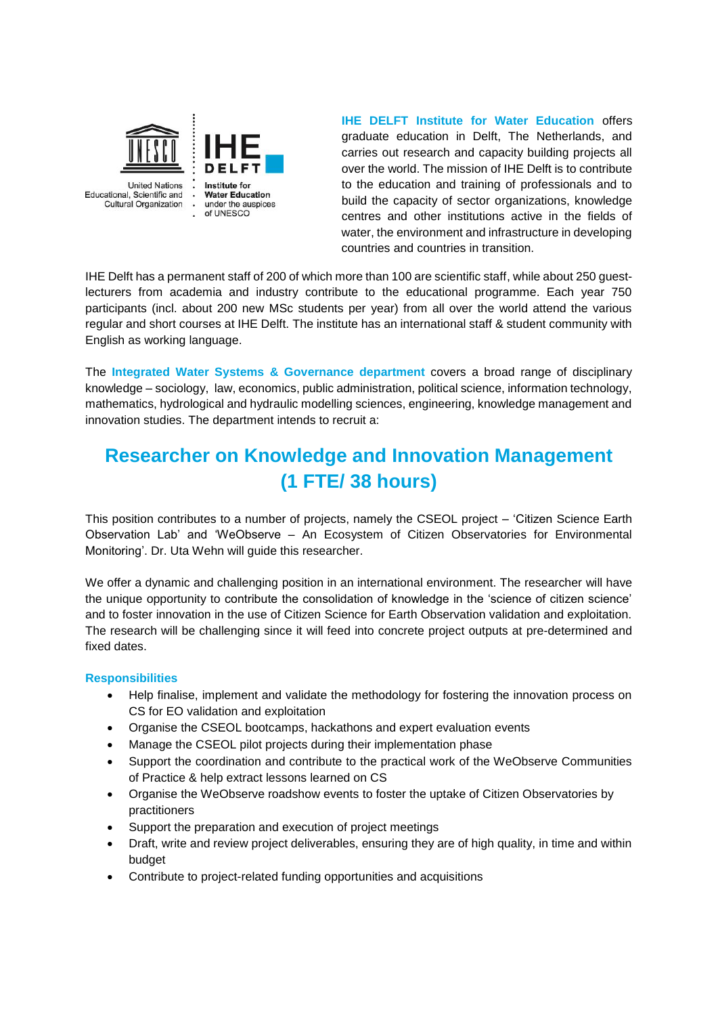

**IHE DELFT Institute for Water Education** offers graduate education in Delft, The Netherlands, and carries out research and capacity building projects all over the world. The mission of IHE Delft is to contribute to the education and training of professionals and to build the capacity of sector organizations, knowledge centres and other institutions active in the fields of water, the environment and infrastructure in developing countries and countries in transition.

IHE Delft has a permanent staff of 200 of which more than 100 are scientific staff, while about 250 guestlecturers from academia and industry contribute to the educational programme. Each year 750 participants (incl. about 200 new MSc students per year) from all over the world attend the various regular and short courses at IHE Delft. The institute has an international staff & student community with English as working language.

The **Integrated Water Systems & Governance department** covers a broad range of disciplinary knowledge – sociology, law, economics, public administration, political science, information technology, mathematics, hydrological and hydraulic modelling sciences, engineering, knowledge management and innovation studies. The department intends to recruit a:

# **Researcher on Knowledge and Innovation Management (1 FTE/ 38 hours)**

This position contributes to a number of projects, namely the CSEOL project – 'Citizen Science Earth Observation Lab' and 'WeObserve – An Ecosystem of Citizen Observatories for Environmental Monitoring'. Dr. Uta Wehn will guide this researcher.

We offer a dynamic and challenging position in an international environment. The researcher will have the unique opportunity to contribute the consolidation of knowledge in the 'science of citizen science' and to foster innovation in the use of Citizen Science for Earth Observation validation and exploitation. The research will be challenging since it will feed into concrete project outputs at pre-determined and fixed dates.

#### **Responsibilities**

- Help finalise, implement and validate the methodology for fostering the innovation process on CS for EO validation and exploitation
- Organise the CSEOL bootcamps, hackathons and expert evaluation events
- Manage the CSEOL pilot projects during their implementation phase
- Support the coordination and contribute to the practical work of the WeObserve Communities of Practice & help extract lessons learned on CS
- Organise the WeObserve roadshow events to foster the uptake of Citizen Observatories by practitioners
- Support the preparation and execution of project meetings
- Draft, write and review project deliverables, ensuring they are of high quality, in time and within budget
- Contribute to project-related funding opportunities and acquisitions